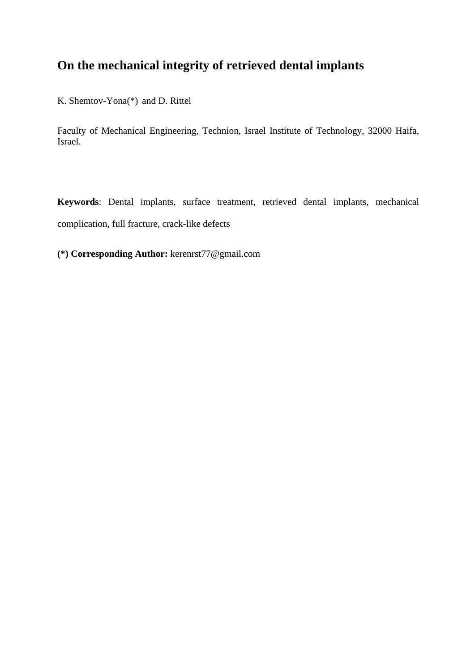# **On the mechanical integrity of retrieved dental implants**

K. Shemtov-Yona(\*) and D. Rittel

Faculty of Mechanical Engineering, Technion, Israel Institute of Technology, 32000 Haifa, Israel.

**Keywords**: Dental implants, surface treatment, retrieved dental implants, mechanical complication, full fracture, crack-like defects

**(\*) Corresponding Author:** kerenrst77@gmail.com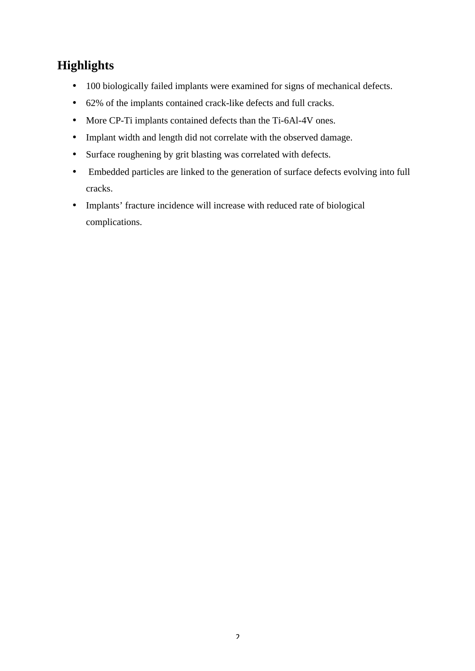# **Highlights**

- 100 biologically failed implants were examined for signs of mechanical defects.
- 62% of the implants contained crack-like defects and full cracks.
- More CP-Ti implants contained defects than the Ti-6Al-4V ones.
- Implant width and length did not correlate with the observed damage.
- Surface roughening by grit blasting was correlated with defects.
- Embedded particles are linked to the generation of surface defects evolving into full cracks.
- Implants' fracture incidence will increase with reduced rate of biological complications.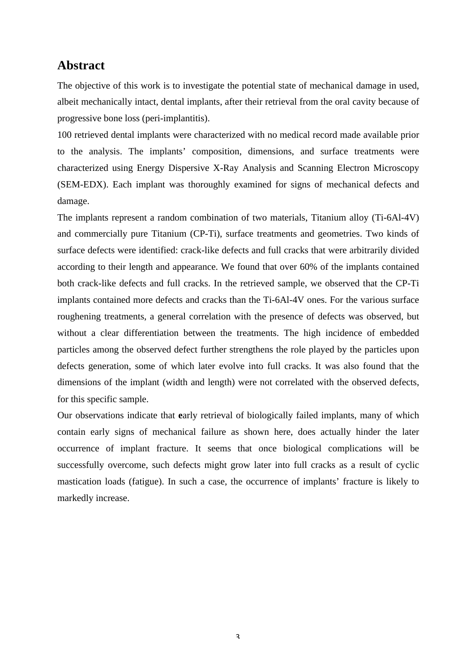# **Abstract**

The objective of this work is to investigate the potential state of mechanical damage in used, albeit mechanically intact, dental implants, after their retrieval from the oral cavity because of progressive bone loss (peri-implantitis).

100 retrieved dental implants were characterized with no medical record made available prior to the analysis. The implants' composition, dimensions, and surface treatments were characterized using Energy Dispersive X-Ray Analysis and Scanning Electron Microscopy (SEM-EDX). Each implant was thoroughly examined for signs of mechanical defects and damage.

The implants represent a random combination of two materials, Titanium alloy (Ti-6Al-4V) and commercially pure Titanium (CP-Ti), surface treatments and geometries. Two kinds of surface defects were identified: crack-like defects and full cracks that were arbitrarily divided according to their length and appearance. We found that over 60% of the implants contained both crack-like defects and full cracks. In the retrieved sample, we observed that the CP-Ti implants contained more defects and cracks than the Ti-6Al-4V ones. For the various surface roughening treatments, a general correlation with the presence of defects was observed, but without a clear differentiation between the treatments. The high incidence of embedded particles among the observed defect further strengthens the role played by the particles upon defects generation, some of which later evolve into full cracks. It was also found that the dimensions of the implant (width and length) were not correlated with the observed defects, for this specific sample.

Our observations indicate that **e**arly retrieval of biologically failed implants, many of which contain early signs of mechanical failure as shown here, does actually hinder the later occurrence of implant fracture. It seems that once biological complications will be successfully overcome, such defects might grow later into full cracks as a result of cyclic mastication loads (fatigue). In such a case, the occurrence of implants' fracture is likely to markedly increase.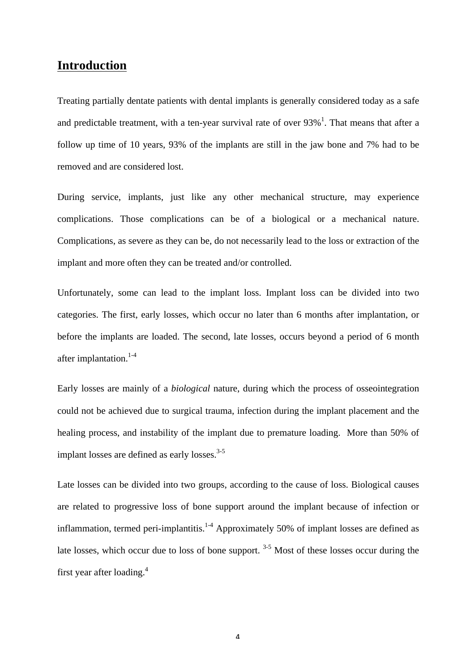# **Introduction**

Treating partially dentate patients with dental implants is generally considered today as a safe and predictable treatment, with a ten-year survival rate of over  $93\%$ <sup>1</sup>. That means that after a follow up time of 10 years, 93% of the implants are still in the jaw bone and 7% had to be removed and are considered lost.

During service, implants, just like any other mechanical structure, may experience complications. Those complications can be of a biological or a mechanical nature. Complications, as severe as they can be, do not necessarily lead to the loss or extraction of the implant and more often they can be treated and/or controlled.

Unfortunately, some can lead to the implant loss. Implant loss can be divided into two categories. The first, early losses, which occur no later than 6 months after implantation, or before the implants are loaded. The second, late losses, occurs beyond a period of 6 month after implantation.<sup>1-4</sup>

Early losses are mainly of a *biological* nature, during which the process of osseointegration could not be achieved due to surgical trauma, infection during the implant placement and the healing process, and instability of the implant due to premature loading. More than 50% of implant losses are defined as early losses. $3-5$ 

Late losses can be divided into two groups, according to the cause of loss. Biological causes are related to progressive loss of bone support around the implant because of infection or inflammation, termed peri-implantitis.<sup>1-4</sup> Approximately 50% of implant losses are defined as late losses, which occur due to loss of bone support.<sup>3-5</sup> Most of these losses occur during the first year after loading.4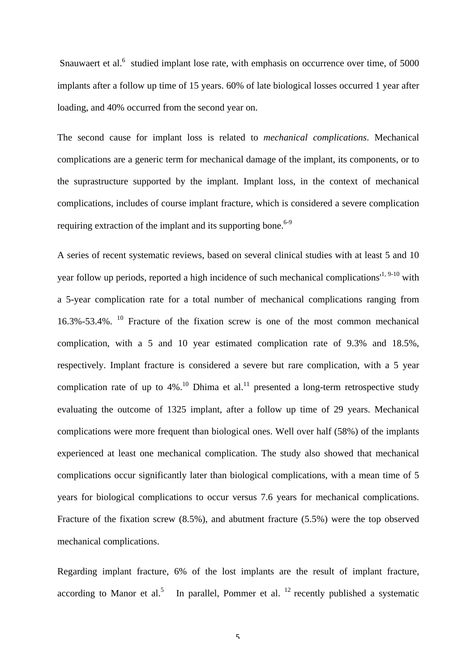Snauwaert et al. $<sup>6</sup>$  studied implant lose rate, with emphasis on occurrence over time, of 5000</sup> implants after a follow up time of 15 years. 60% of late biological losses occurred 1 year after loading, and 40% occurred from the second year on.

The second cause for implant loss is related to *mechanical complications*. Mechanical complications are a generic term for mechanical damage of the implant, its components, or to the suprastructure supported by the implant. Implant loss, in the context of mechanical complications, includes of course implant fracture, which is considered a severe complication requiring extraction of the implant and its supporting bone.<sup>6-9</sup>

A series of recent systematic reviews, based on several clinical studies with at least 5 and 10 year follow up periods, reported a high incidence of such mechanical complications<sup> $(1, 9-10)$ </sup> with a 5-year complication rate for a total number of mechanical complications ranging from 16.3%-53.4%. <sup>10</sup> Fracture of the fixation screw is one of the most common mechanical complication, with a 5 and 10 year estimated complication rate of 9.3% and 18.5%, respectively. Implant fracture is considered a severe but rare complication, with a 5 year complication rate of up to  $4\%$ .<sup>10</sup> Dhima et al.<sup>11</sup> presented a long-term retrospective study evaluating the outcome of 1325 implant, after a follow up time of 29 years. Mechanical complications were more frequent than biological ones. Well over half (58%) of the implants experienced at least one mechanical complication. The study also showed that mechanical complications occur significantly later than biological complications, with a mean time of 5 years for biological complications to occur versus 7.6 years for mechanical complications. Fracture of the fixation screw (8.5%), and abutment fracture (5.5%) were the top observed mechanical complications.

Regarding implant fracture, 6% of the lost implants are the result of implant fracture, according to Manor et al.<sup>5</sup> In parallel, Pommer et al.<sup>12</sup> recently published a systematic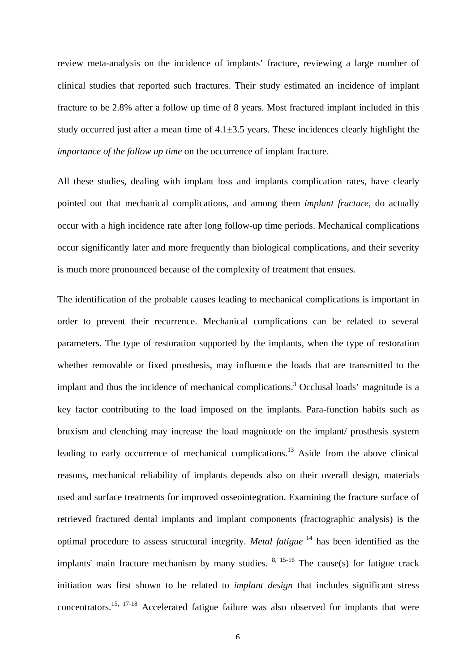review meta-analysis on the incidence of implants' fracture, reviewing a large number of clinical studies that reported such fractures. Their study estimated an incidence of implant fracture to be 2.8% after a follow up time of 8 years. Most fractured implant included in this study occurred just after a mean time of  $4.1\pm3.5$  years. These incidences clearly highlight the *importance of the follow up time* on the occurrence of implant fracture.

All these studies, dealing with implant loss and implants complication rates, have clearly pointed out that mechanical complications, and among them *implant fracture*, do actually occur with a high incidence rate after long follow-up time periods. Mechanical complications occur significantly later and more frequently than biological complications, and their severity is much more pronounced because of the complexity of treatment that ensues.

The identification of the probable causes leading to mechanical complications is important in order to prevent their recurrence. Mechanical complications can be related to several parameters. The type of restoration supported by the implants, when the type of restoration whether removable or fixed prosthesis, may influence the loads that are transmitted to the implant and thus the incidence of mechanical complications.<sup>3</sup> Occlusal loads' magnitude is a key factor contributing to the load imposed on the implants. Para-function habits such as bruxism and clenching may increase the load magnitude on the implant/ prosthesis system leading to early occurrence of mechanical complications.13 Aside from the above clinical reasons, mechanical reliability of implants depends also on their overall design, materials used and surface treatments for improved osseointegration. Examining the fracture surface of retrieved fractured dental implants and implant components (fractographic analysis) is the optimal procedure to assess structural integrity. *Metal fatigue* <sup>14</sup> has been identified as the implants' main fracture mechanism by many studies.  $8, 15-16$  The cause(s) for fatigue crack initiation was first shown to be related to *implant design* that includes significant stress concentrators.<sup>15, 17-18</sup> Accelerated fatigue failure was also observed for implants that were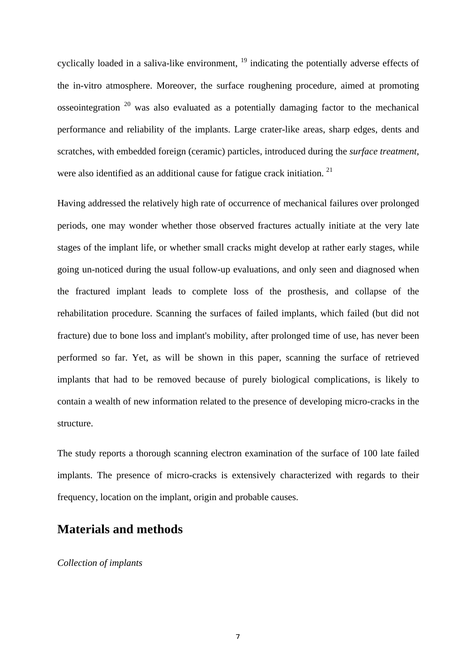cyclically loaded in a saliva-like environment, <sup>19</sup> indicating the potentially adverse effects of the in-vitro atmosphere. Moreover, the surface roughening procedure, aimed at promoting osseointegration  $20$  was also evaluated as a potentially damaging factor to the mechanical performance and reliability of the implants. Large crater-like areas, sharp edges, dents and scratches, with embedded foreign (ceramic) particles, introduced during the *surface treatment*, were also identified as an additional cause for fatigue crack initiation.<sup>21</sup>

Having addressed the relatively high rate of occurrence of mechanical failures over prolonged periods, one may wonder whether those observed fractures actually initiate at the very late stages of the implant life, or whether small cracks might develop at rather early stages, while going un-noticed during the usual follow-up evaluations, and only seen and diagnosed when the fractured implant leads to complete loss of the prosthesis, and collapse of the rehabilitation procedure. Scanning the surfaces of failed implants, which failed (but did not fracture) due to bone loss and implant's mobility, after prolonged time of use, has never been performed so far. Yet, as will be shown in this paper, scanning the surface of retrieved implants that had to be removed because of purely biological complications, is likely to contain a wealth of new information related to the presence of developing micro-cracks in the structure.

The study reports a thorough scanning electron examination of the surface of 100 late failed implants. The presence of micro-cracks is extensively characterized with regards to their frequency, location on the implant, origin and probable causes.

# **Materials and methods**

*Collection of implants*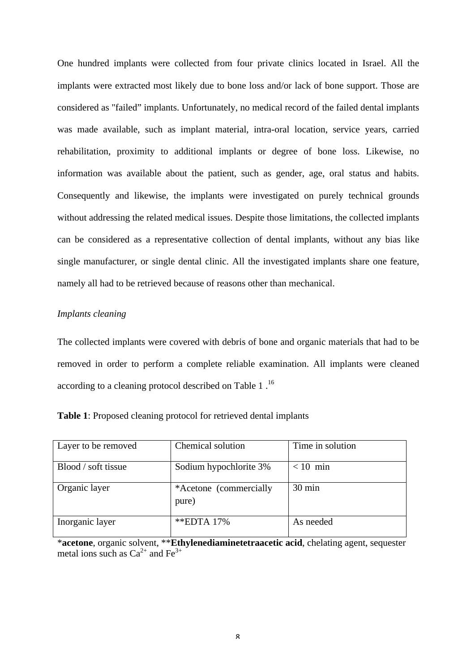One hundred implants were collected from four private clinics located in Israel. All the implants were extracted most likely due to bone loss and/or lack of bone support. Those are considered as "failed" implants. Unfortunately, no medical record of the failed dental implants was made available, such as implant material, intra-oral location, service years, carried rehabilitation, proximity to additional implants or degree of bone loss. Likewise, no information was available about the patient, such as gender, age, oral status and habits. Consequently and likewise, the implants were investigated on purely technical grounds without addressing the related medical issues. Despite those limitations, the collected implants can be considered as a representative collection of dental implants, without any bias like single manufacturer, or single dental clinic. All the investigated implants share one feature, namely all had to be retrieved because of reasons other than mechanical.

### *Implants cleaning*

The collected implants were covered with debris of bone and organic materials that had to be removed in order to perform a complete reliable examination. All implants were cleaned according to a cleaning protocol described on Table 1.<sup>16</sup>

| Layer to be removed | Chemical solution               | Time in solution |
|---------------------|---------------------------------|------------------|
| Blood / soft tissue | Sodium hypochlorite 3%          | $< 10$ min       |
| Organic layer       | *Acetone (commercially<br>pure) | $30 \text{ min}$ |
| Inorganic layer     | **EDTA 17%                      | As needed        |

| Table 1: Proposed cleaning protocol for retrieved dental implants |  |  |
|-------------------------------------------------------------------|--|--|
|-------------------------------------------------------------------|--|--|

\***acetone**, organic solvent, \*\***Ethylenediaminetetraacetic acid**, chelating agent, sequester metal ions such as  $Ca^{2+}$  and Fe<sup>3+</sup>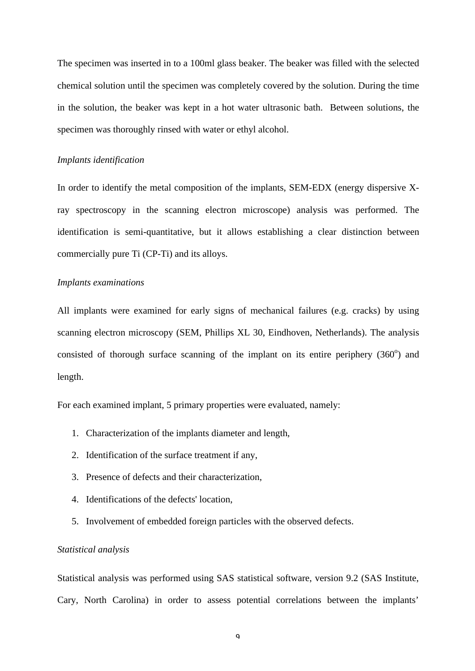The specimen was inserted in to a 100ml glass beaker. The beaker was filled with the selected chemical solution until the specimen was completely covered by the solution. During the time in the solution, the beaker was kept in a hot water ultrasonic bath. Between solutions, the specimen was thoroughly rinsed with water or ethyl alcohol.

#### *Implants identification*

In order to identify the metal composition of the implants, SEM-EDX (energy dispersive Xray spectroscopy in the scanning electron microscope) analysis was performed. The identification is semi-quantitative, but it allows establishing a clear distinction between commercially pure Ti (CP-Ti) and its alloys.

#### *Implants examinations*

All implants were examined for early signs of mechanical failures (e.g. cracks) by using scanning electron microscopy (SEM, Phillips XL 30, Eindhoven, Netherlands). The analysis consisted of thorough surface scanning of the implant on its entire periphery  $(360^{\circ})$  and length.

For each examined implant, 5 primary properties were evaluated, namely:

- 1. Characterization of the implants diameter and length,
- 2. Identification of the surface treatment if any,
- 3. Presence of defects and their characterization,
- 4. Identifications of the defects' location,
- 5. Involvement of embedded foreign particles with the observed defects.

#### *Statistical analysis*

Statistical analysis was performed using SAS statistical software, version 9.2 (SAS Institute, Cary, North Carolina) in order to assess potential correlations between the implants'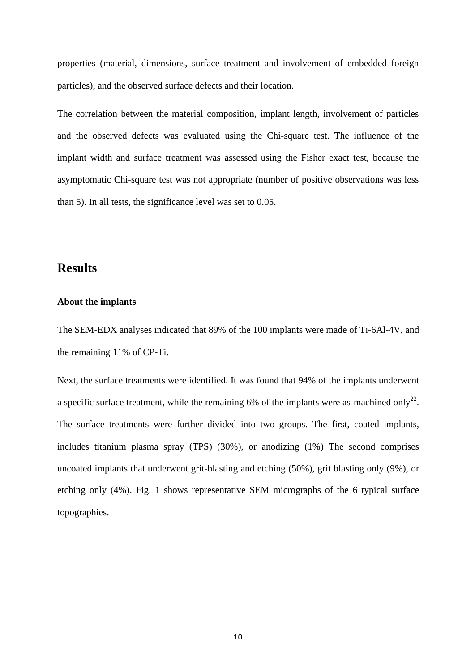properties (material, dimensions, surface treatment and involvement of embedded foreign particles), and the observed surface defects and their location.

The correlation between the material composition, implant length, involvement of particles and the observed defects was evaluated using the Chi-square test. The influence of the implant width and surface treatment was assessed using the Fisher exact test, because the asymptomatic Chi-square test was not appropriate (number of positive observations was less than 5). In all tests, the significance level was set to 0.05.

# **Results**

#### **About the implants**

The SEM-EDX analyses indicated that 89% of the 100 implants were made of Ti-6Al-4V, and the remaining 11% of CP-Ti.

Next, the surface treatments were identified. It was found that 94% of the implants underwent a specific surface treatment, while the remaining 6% of the implants were as-machined only<sup>22</sup>. The surface treatments were further divided into two groups. The first, coated implants, includes titanium plasma spray (TPS) (30%), or anodizing (1%) The second comprises uncoated implants that underwent grit-blasting and etching (50%), grit blasting only (9%), or etching only (4%). Fig. 1 shows representative SEM micrographs of the 6 typical surface topographies.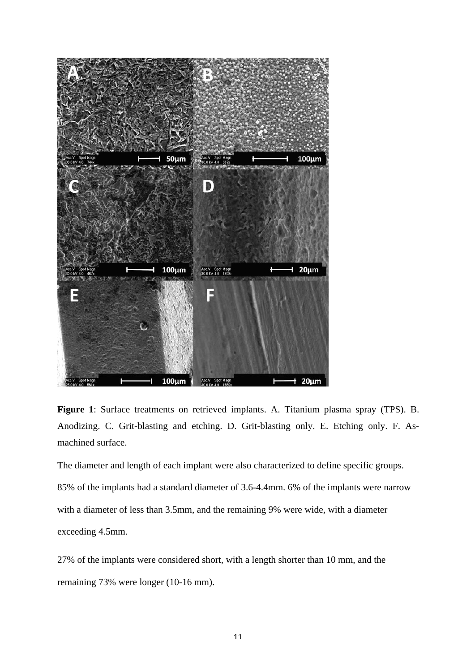

**Figure 1**: Surface treatments on retrieved implants. A. Titanium plasma spray (TPS). B. Anodizing. C. Grit-blasting and etching. D. Grit-blasting only. E. Etching only. F. Asmachined surface.

The diameter and length of each implant were also characterized to define specific groups. 85% of the implants had a standard diameter of 3.6-4.4mm. 6% of the implants were narrow with a diameter of less than 3.5mm, and the remaining 9% were wide, with a diameter exceeding 4.5mm.

27% of the implants were considered short, with a length shorter than 10 mm, and the remaining 73% were longer (10-16 mm).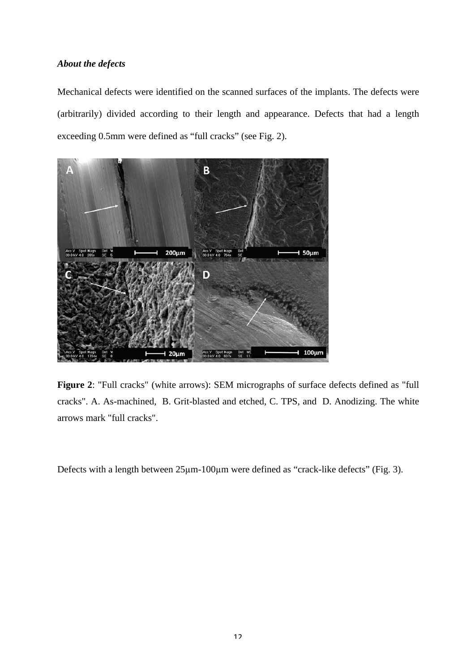### *About the defects*

Mechanical defects were identified on the scanned surfaces of the implants. The defects were (arbitrarily) divided according to their length and appearance. Defects that had a length exceeding 0.5mm were defined as "full cracks" (see Fig. 2).



**Figure 2**: "Full cracks" (white arrows): SEM micrographs of surface defects defined as "full cracks". A. As-machined, B. Grit-blasted and etched, C. TPS, and D. Anodizing. The white arrows mark "full cracks".

Defects with a length between 25µm-100µm were defined as "crack-like defects" (Fig. 3).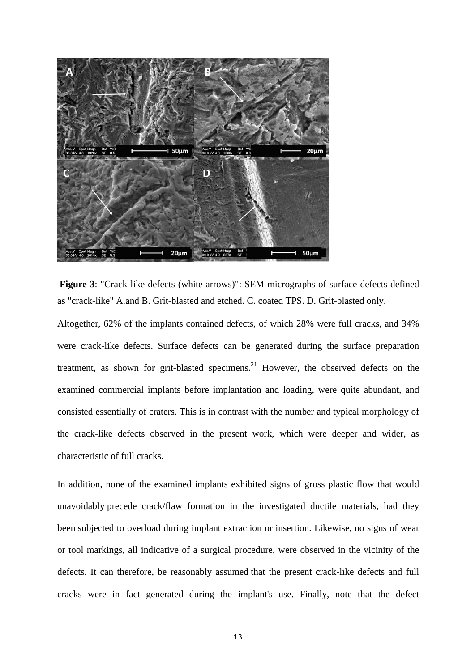

**Figure 3**: "Crack-like defects (white arrows)": SEM micrographs of surface defects defined as "crack-like" A.and B. Grit-blasted and etched. C. coated TPS. D. Grit-blasted only.

Altogether, 62% of the implants contained defects, of which 28% were full cracks, and 34% were crack-like defects. Surface defects can be generated during the surface preparation treatment, as shown for grit-blasted specimens.<sup>21</sup> However, the observed defects on the examined commercial implants before implantation and loading, were quite abundant, and consisted essentially of craters. This is in contrast with the number and typical morphology of the crack-like defects observed in the present work, which were deeper and wider, as characteristic of full cracks.

In addition, none of the examined implants exhibited signs of gross plastic flow that would unavoidably precede crack/flaw formation in the investigated ductile materials, had they been subjected to overload during implant extraction or insertion. Likewise, no signs of wear or tool markings, all indicative of a surgical procedure, were observed in the vicinity of the defects. It can therefore, be reasonably assumed that the present crack-like defects and full cracks were in fact generated during the implant's use. Finally, note that the defect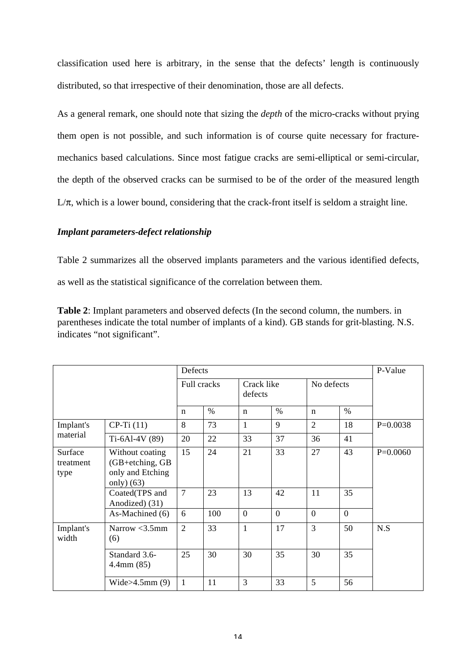classification used here is arbitrary, in the sense that the defects' length is continuously distributed, so that irrespective of their denomination, those are all defects.

As a general remark, one should note that sizing the *depth* of the micro-cracks without prying them open is not possible, and such information is of course quite necessary for fracturemechanics based calculations. Since most fatigue cracks are semi-elliptical or semi-circular, the depth of the observed cracks can be surmised to be of the order of the measured length  $L/\pi$ , which is a lower bound, considering that the crack-front itself is seldom a straight line.

### *Implant parameters-defect relationship*

Table 2 summarizes all the observed implants parameters and the various identified defects, as well as the statistical significance of the correlation between them.

**Table 2**: Implant parameters and observed defects (In the second column, the numbers. in parentheses indicate the total number of implants of a kind). GB stands for grit-blasting. N.S. indicates "not significant".

| Defects                      |                                                                       |                |      |                       |          |                |                | P-Value    |
|------------------------------|-----------------------------------------------------------------------|----------------|------|-----------------------|----------|----------------|----------------|------------|
|                              |                                                                       | Full cracks    |      | Crack like<br>defects |          | No defects     |                |            |
|                              |                                                                       | $\mathbf n$    | $\%$ | $\mathbf n$           | $\%$     | $\mathbf n$    | $\%$           |            |
| Implant's<br>material        | $CP-Ti(11)$                                                           | 8              | 73   | $\mathbf{1}$          | 9        | $\overline{2}$ | 18             | $P=0.0038$ |
|                              | Ti-6Al-4V (89)                                                        | 20             | 22   | 33                    | 37       | 36             | 41             |            |
| Surface<br>treatment<br>type | Without coating<br>(GB+etching, GB<br>only and Etching<br>only $(63)$ | 15             | 24   | 21                    | 33       | 27             | 43             | $P=0.0060$ |
|                              | Coated(TPS and<br>Anodized) (31)                                      | $\overline{7}$ | 23   | 13                    | 42       | 11             | 35             |            |
|                              | As-Machined (6)                                                       | 6              | 100  | $\Omega$              | $\Omega$ | $\theta$       | $\overline{0}$ |            |
| Implant's<br>width           | Narrow $<$ 3.5mm<br>(6)                                               | $\overline{2}$ | 33   | 1                     | 17       | 3              | 50             | N.S        |
|                              | Standard 3.6-<br>$4.4$ mm $(85)$                                      | 25             | 30   | 30                    | 35       | 30             | 35             |            |
|                              | Wide $>4.5$ mm $(9)$                                                  | $\mathbf{1}$   | 11   | 3                     | 33       | 5              | 56             |            |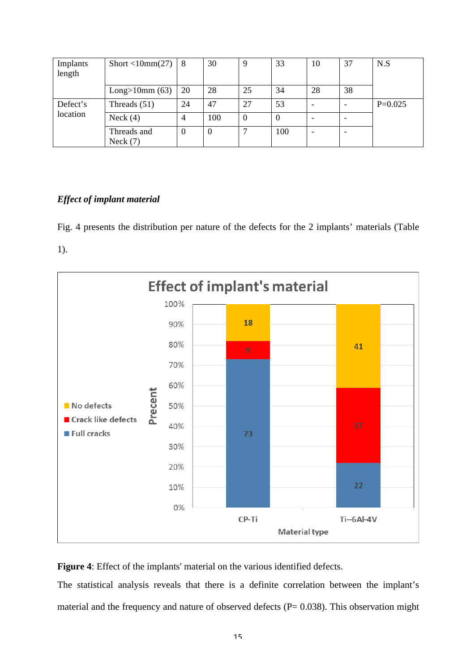| Implants<br>length   | Short <10mm(27)           | 8              | 30       | 9        | 33       | 10                       | 37 | N.S       |
|----------------------|---------------------------|----------------|----------|----------|----------|--------------------------|----|-----------|
|                      | Long>10mm $(63)$          | 20             | 28       | 25       | 34       | 28                       | 38 |           |
| Defect's<br>location | Threads $(51)$            | 24             | 47       | 27       | 53       |                          |    | $P=0.025$ |
|                      | Neck $(4)$                | $\overline{4}$ | 100      | $\theta$ | $\theta$ |                          |    |           |
|                      | Threads and<br>Neck $(7)$ | 0              | $\theta$ |          | 100      | $\overline{\phantom{a}}$ |    |           |

### *Effect of implant material*

Fig. 4 presents the distribution per nature of the defects for the 2 implants' materials (Table 1).



**Figure 4**: Effect of the implants' material on the various identified defects.

The statistical analysis reveals that there is a definite correlation between the implant's material and the frequency and nature of observed defects ( $P= 0.038$ ). This observation might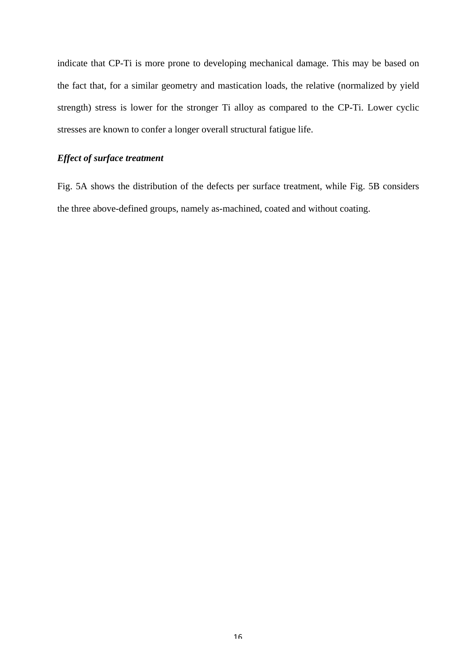indicate that CP-Ti is more prone to developing mechanical damage. This may be based on the fact that, for a similar geometry and mastication loads, the relative (normalized by yield strength) stress is lower for the stronger Ti alloy as compared to the CP-Ti. Lower cyclic stresses are known to confer a longer overall structural fatigue life.

# *Effect of surface treatment*

Fig. 5A shows the distribution of the defects per surface treatment, while Fig. 5B considers the three above-defined groups, namely as-machined, coated and without coating.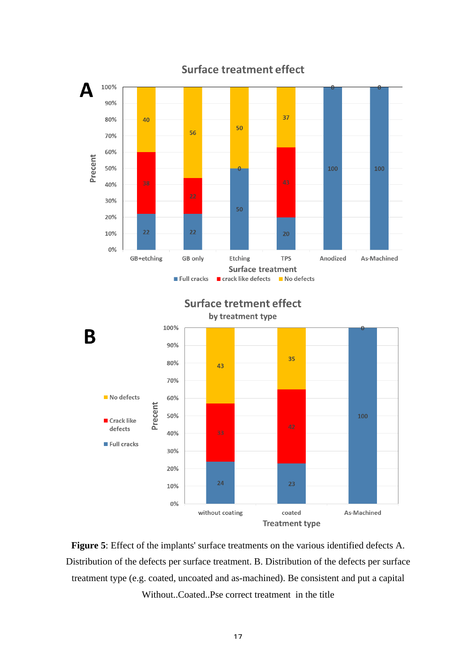

**Surface treatment effect** 

**Figure 5**: Effect of the implants' surface treatments on the various identified defects A. Distribution of the defects per surface treatment. B. Distribution of the defects per surface treatment type (e.g. coated, uncoated and as-machined). Be consistent and put a capital Without..Coated..Pse correct treatment in the title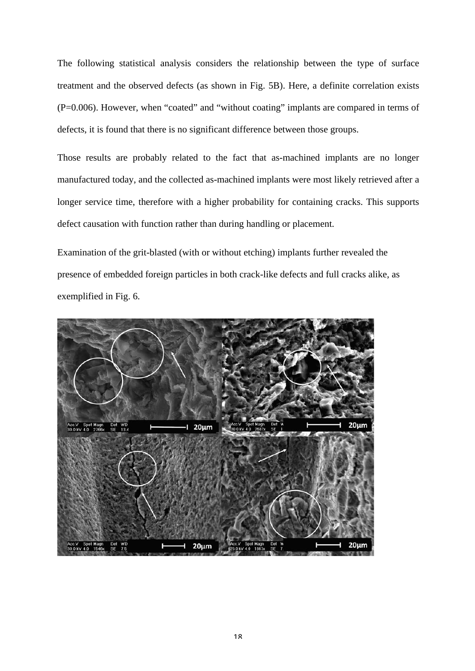The following statistical analysis considers the relationship between the type of surface treatment and the observed defects (as shown in Fig. 5B). Here, a definite correlation exists (P=0.006). However, when "coated" and "without coating" implants are compared in terms of defects, it is found that there is no significant difference between those groups.

Those results are probably related to the fact that as-machined implants are no longer manufactured today, and the collected as-machined implants were most likely retrieved after a longer service time, therefore with a higher probability for containing cracks. This supports defect causation with function rather than during handling or placement.

Examination of the grit-blasted (with or without etching) implants further revealed the presence of embedded foreign particles in both crack-like defects and full cracks alike, as exemplified in Fig. 6.

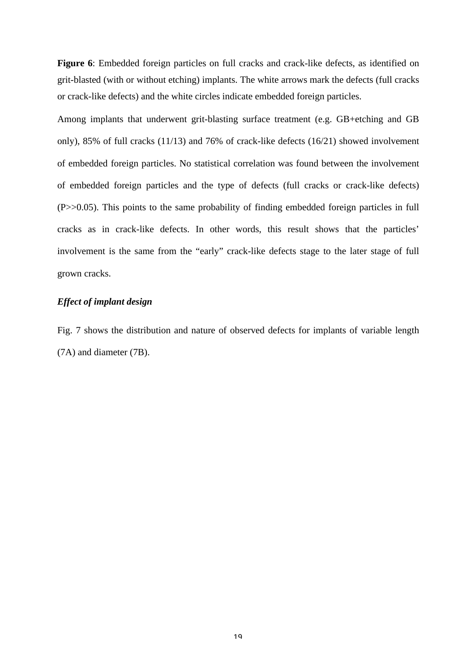Figure 6: Embedded foreign particles on full cracks and crack-like defects, as identified on grit-blasted (with or without etching) implants. The white arrows mark the defects (full cracks or crack-like defects) and the white circles indicate embedded foreign particles.

Among implants that underwent grit-blasting surface treatment (e.g. GB+etching and GB only), 85% of full cracks (11/13) and 76% of crack-like defects (16/21) showed involvement of embedded foreign particles. No statistical correlation was found between the involvement of embedded foreign particles and the type of defects (full cracks or crack-like defects) (P>>0.05). This points to the same probability of finding embedded foreign particles in full cracks as in crack-like defects. In other words, this result shows that the particles' involvement is the same from the "early" crack-like defects stage to the later stage of full grown cracks.

#### *Effect of implant design*

Fig. 7 shows the distribution and nature of observed defects for implants of variable length (7A) and diameter (7B).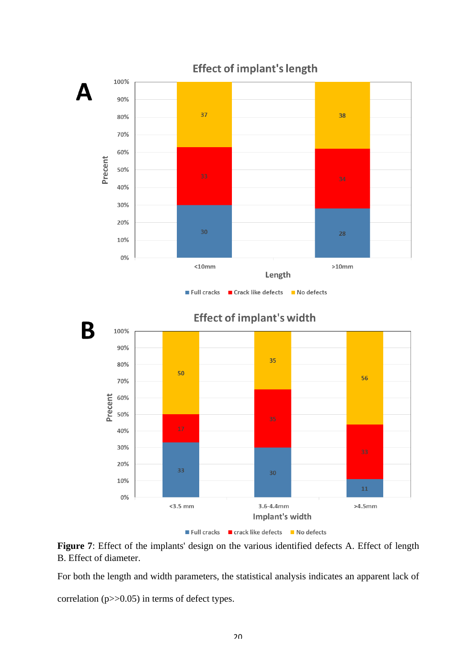



For both the length and width parameters, the statistical analysis indicates an apparent lack of correlation (p>>0.05) in terms of defect types.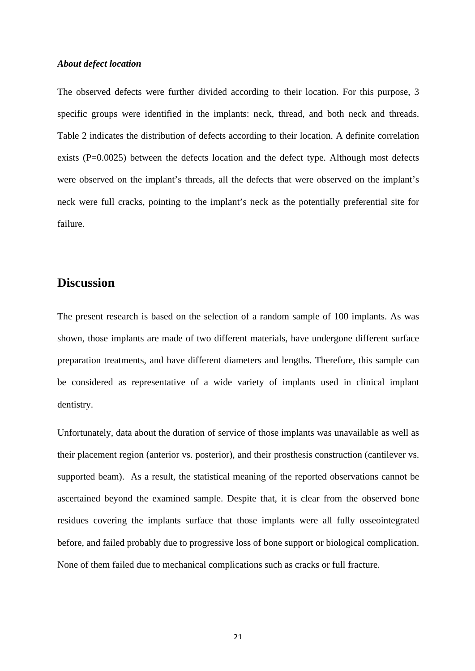#### *About defect location*

The observed defects were further divided according to their location. For this purpose, 3 specific groups were identified in the implants: neck, thread, and both neck and threads. Table 2 indicates the distribution of defects according to their location. A definite correlation exists (P=0.0025) between the defects location and the defect type. Although most defects were observed on the implant's threads, all the defects that were observed on the implant's neck were full cracks, pointing to the implant's neck as the potentially preferential site for failure.

### **Discussion**

The present research is based on the selection of a random sample of 100 implants. As was shown, those implants are made of two different materials, have undergone different surface preparation treatments, and have different diameters and lengths. Therefore, this sample can be considered as representative of a wide variety of implants used in clinical implant dentistry.

Unfortunately, data about the duration of service of those implants was unavailable as well as their placement region (anterior vs. posterior), and their prosthesis construction (cantilever vs. supported beam). As a result, the statistical meaning of the reported observations cannot be ascertained beyond the examined sample. Despite that, it is clear from the observed bone residues covering the implants surface that those implants were all fully osseointegrated before, and failed probably due to progressive loss of bone support or biological complication. None of them failed due to mechanical complications such as cracks or full fracture.

 $21$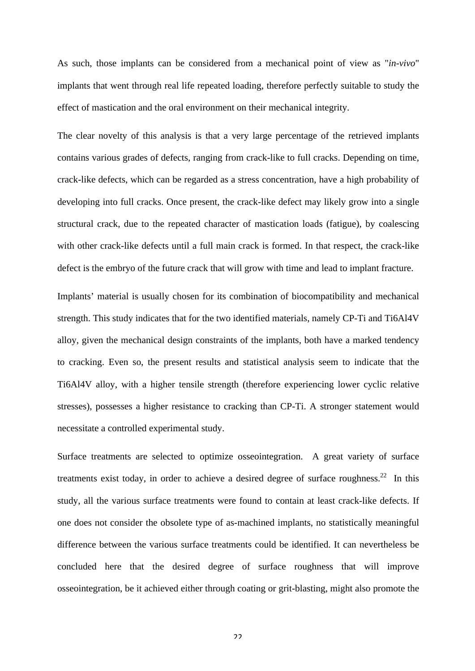As such, those implants can be considered from a mechanical point of view as "*in-vivo*" implants that went through real life repeated loading, therefore perfectly suitable to study the effect of mastication and the oral environment on their mechanical integrity.

The clear novelty of this analysis is that a very large percentage of the retrieved implants contains various grades of defects, ranging from crack-like to full cracks. Depending on time, crack-like defects, which can be regarded as a stress concentration, have a high probability of developing into full cracks. Once present, the crack-like defect may likely grow into a single structural crack, due to the repeated character of mastication loads (fatigue), by coalescing with other crack-like defects until a full main crack is formed. In that respect, the crack-like defect is the embryo of the future crack that will grow with time and lead to implant fracture.

Implants' material is usually chosen for its combination of biocompatibility and mechanical strength. This study indicates that for the two identified materials, namely CP-Ti and Ti6Al4V alloy, given the mechanical design constraints of the implants, both have a marked tendency to cracking. Even so, the present results and statistical analysis seem to indicate that the Ti6Al4V alloy, with a higher tensile strength (therefore experiencing lower cyclic relative stresses), possesses a higher resistance to cracking than CP-Ti. A stronger statement would necessitate a controlled experimental study.

Surface treatments are selected to optimize osseointegration. A great variety of surface treatments exist today, in order to achieve a desired degree of surface roughness.<sup>22</sup> In this study, all the various surface treatments were found to contain at least crack-like defects. If one does not consider the obsolete type of as-machined implants, no statistically meaningful difference between the various surface treatments could be identified. It can nevertheless be concluded here that the desired degree of surface roughness that will improve osseointegration, be it achieved either through coating or grit-blasting, might also promote the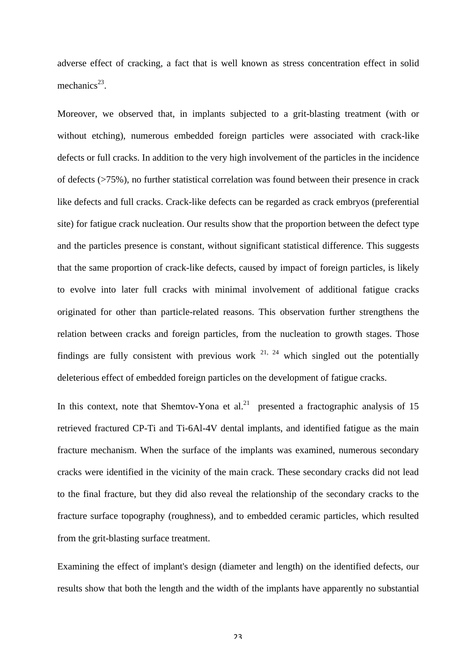adverse effect of cracking, a fact that is well known as stress concentration effect in solid mechanics $^{23}$ .

Moreover, we observed that, in implants subjected to a grit-blasting treatment (with or without etching), numerous embedded foreign particles were associated with crack-like defects or full cracks. In addition to the very high involvement of the particles in the incidence of defects (>75%), no further statistical correlation was found between their presence in crack like defects and full cracks. Crack-like defects can be regarded as crack embryos (preferential site) for fatigue crack nucleation. Our results show that the proportion between the defect type and the particles presence is constant, without significant statistical difference. This suggests that the same proportion of crack-like defects, caused by impact of foreign particles, is likely to evolve into later full cracks with minimal involvement of additional fatigue cracks originated for other than particle-related reasons. This observation further strengthens the relation between cracks and foreign particles, from the nucleation to growth stages. Those findings are fully consistent with previous work  $21$ ,  $24$  which singled out the potentially deleterious effect of embedded foreign particles on the development of fatigue cracks.

In this context, note that Shemtov-Yona et al.<sup>21</sup> presented a fractographic analysis of 15 retrieved fractured CP-Ti and Ti-6Al-4V dental implants, and identified fatigue as the main fracture mechanism. When the surface of the implants was examined, numerous secondary cracks were identified in the vicinity of the main crack. These secondary cracks did not lead to the final fracture, but they did also reveal the relationship of the secondary cracks to the fracture surface topography (roughness), and to embedded ceramic particles, which resulted from the grit-blasting surface treatment.

Examining the effect of implant's design (diameter and length) on the identified defects, our results show that both the length and the width of the implants have apparently no substantial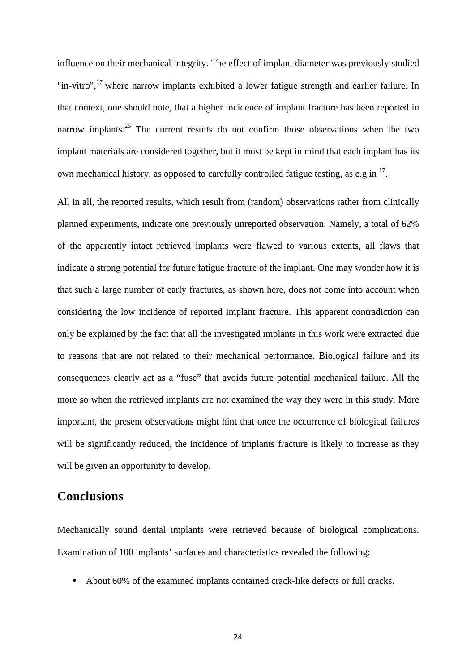influence on their mechanical integrity. The effect of implant diameter was previously studied "in-vitro",<sup>17</sup> where narrow implants exhibited a lower fatigue strength and earlier failure. In that context, one should note, that a higher incidence of implant fracture has been reported in narrow implants.<sup>25</sup> The current results do not confirm those observations when the two implant materials are considered together, but it must be kept in mind that each implant has its own mechanical history, as opposed to carefully controlled fatigue testing, as e.g in <sup>17</sup>.

All in all, the reported results, which result from (random) observations rather from clinically planned experiments, indicate one previously unreported observation. Namely, a total of 62% of the apparently intact retrieved implants were flawed to various extents, all flaws that indicate a strong potential for future fatigue fracture of the implant. One may wonder how it is that such a large number of early fractures, as shown here, does not come into account when considering the low incidence of reported implant fracture. This apparent contradiction can only be explained by the fact that all the investigated implants in this work were extracted due to reasons that are not related to their mechanical performance. Biological failure and its consequences clearly act as a "fuse" that avoids future potential mechanical failure. All the more so when the retrieved implants are not examined the way they were in this study. More important, the present observations might hint that once the occurrence of biological failures will be significantly reduced, the incidence of implants fracture is likely to increase as they will be given an opportunity to develop.

# **Conclusions**

Mechanically sound dental implants were retrieved because of biological complications. Examination of 100 implants' surfaces and characteristics revealed the following:

• About 60% of the examined implants contained crack-like defects or full cracks.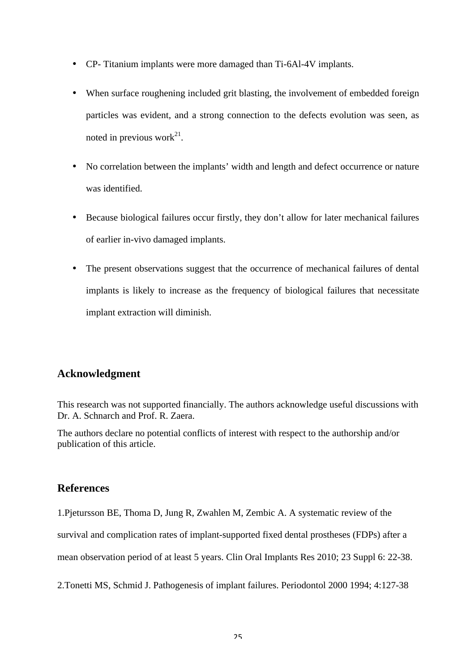- CP- Titanium implants were more damaged than Ti-6Al-4V implants.
- When surface roughening included grit blasting, the involvement of embedded foreign particles was evident, and a strong connection to the defects evolution was seen, as noted in previous work<sup>21</sup>.
- No correlation between the implants' width and length and defect occurrence or nature was identified.
- Because biological failures occur firstly, they don't allow for later mechanical failures of earlier in-vivo damaged implants.
- The present observations suggest that the occurrence of mechanical failures of dental implants is likely to increase as the frequency of biological failures that necessitate implant extraction will diminish.

# **Acknowledgment**

This research was not supported financially. The authors acknowledge useful discussions with Dr. A. Schnarch and Prof. R. Zaera.

The authors declare no potential conflicts of interest with respect to the authorship and/or publication of this article.

# **References**

1.Pjetursson BE, Thoma D, Jung R, Zwahlen M, Zembic A. A systematic review of the survival and complication rates of implant-supported fixed dental prostheses (FDPs) after a mean observation period of at least 5 years. Clin Oral Implants Res 2010; 23 Suppl 6: 22-38.

2.Tonetti MS, Schmid J. Pathogenesis of implant failures. Periodontol 2000 1994; 4:127-38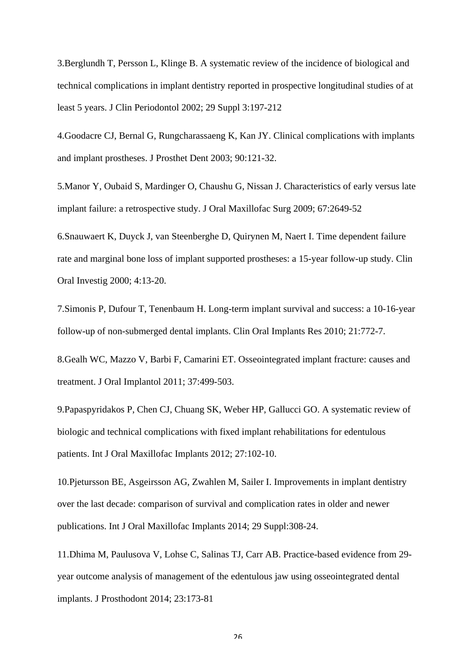3.Berglundh T, Persson L, Klinge B. A systematic review of the incidence of biological and technical complications in implant dentistry reported in prospective longitudinal studies of at least 5 years. J Clin Periodontol 2002; 29 Suppl 3:197-212

4.Goodacre CJ, Bernal G, Rungcharassaeng K, Kan JY. Clinical complications with implants and implant prostheses. J Prosthet Dent 2003; 90:121-32.

5.Manor Y, Oubaid S, Mardinger O, Chaushu G, Nissan J. Characteristics of early versus late implant failure: a retrospective study. J Oral Maxillofac Surg 2009; 67:2649-52

6.Snauwaert K, Duyck J, van Steenberghe D, Quirynen M, Naert I. Time dependent failure rate and marginal bone loss of implant supported prostheses: a 15-year follow-up study. Clin Oral Investig 2000; 4:13-20.

7.Simonis P, Dufour T, Tenenbaum H. Long-term implant survival and success: a 10-16-year follow-up of non-submerged dental implants. Clin Oral Implants Res 2010; 21:772-7.

8.Gealh WC, Mazzo V, Barbi F, Camarini ET. Osseointegrated implant fracture: causes and treatment. J Oral Implantol 2011; 37:499-503.

9.Papaspyridakos P, Chen CJ, Chuang SK, Weber HP, Gallucci GO. A systematic review of biologic and technical complications with fixed implant rehabilitations for edentulous patients. Int J Oral Maxillofac Implants 2012; 27:102-10.

10.Pjetursson BE, Asgeirsson AG, Zwahlen M, Sailer I. Improvements in implant dentistry over the last decade: comparison of survival and complication rates in older and newer publications. Int J Oral Maxillofac Implants 2014; 29 Suppl:308-24.

11.Dhima M, Paulusova V, Lohse C, Salinas TJ, Carr AB. Practice-based evidence from 29 year outcome analysis of management of the edentulous jaw using osseointegrated dental implants. J Prosthodont 2014; 23:173-81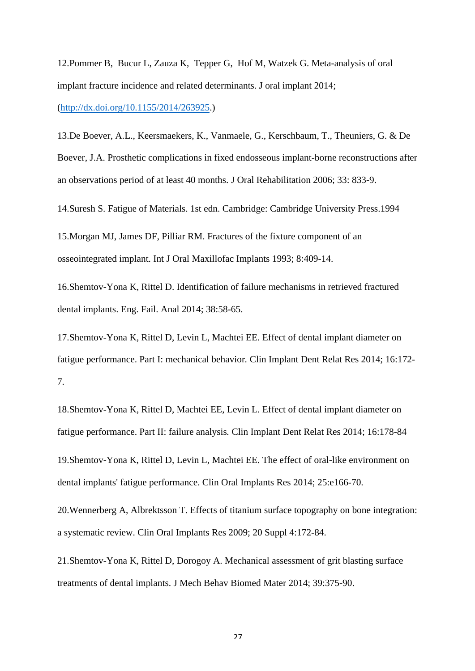12.Pommer B, Bucur L, Zauza K, Tepper G, Hof M, Watzek G. Meta-analysis of oral implant fracture incidence and related determinants. J oral implant 2014; (http://dx.doi.org/10.1155/2014/263925.)

13.De Boever, A.L., Keersmaekers, K., Vanmaele, G., Kerschbaum, T., Theuniers, G. & De Boever, J.A. Prosthetic complications in fixed endosseous implant-borne reconstructions after an observations period of at least 40 months. J Oral Rehabilitation 2006; 33: 833-9.

14.Suresh S. Fatigue of Materials. 1st edn. Cambridge: Cambridge University Press.1994

15.Morgan MJ, James DF, Pilliar RM. Fractures of the fixture component of an osseointegrated implant. Int J Oral Maxillofac Implants 1993; 8:409-14.

16.Shemtov-Yona K, Rittel D. Identification of failure mechanisms in retrieved fractured dental implants. Eng. Fail. Anal 2014; 38:58-65.

17.Shemtov-Yona K, Rittel D, Levin L, Machtei EE. Effect of dental implant diameter on fatigue performance. Part I: mechanical behavior*.* Clin Implant Dent Relat Res 2014; 16:172- 7.

18.Shemtov-Yona K, Rittel D, Machtei EE, Levin L. Effect of dental implant diameter on fatigue performance. Part II: failure analysis*.* Clin Implant Dent Relat Res 2014; 16:178-84 19.Shemtov-Yona K, Rittel D, Levin L, Machtei EE. The effect of oral-like environment on dental implants' fatigue performance. Clin Oral Implants Res 2014; 25:e166-70.

20.Wennerberg A, Albrektsson T. Effects of titanium surface topography on bone integration: a systematic review. Clin Oral Implants Res 2009; 20 Suppl 4:172-84.

21.Shemtov-Yona K, Rittel D, Dorogoy A. Mechanical assessment of grit blasting surface treatments of dental implants. J Mech Behav Biomed Mater 2014; 39:375-90.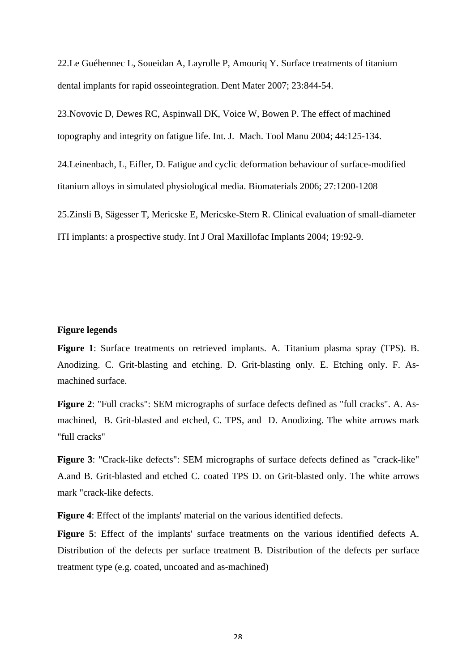22.Le Guéhennec L, Soueidan A, Layrolle P, Amouriq Y. Surface treatments of titanium dental implants for rapid osseointegration. Dent Mater 2007; 23:844-54.

23.Novovic D, Dewes RC, Aspinwall DK, Voice W, Bowen P. The effect of machined topography and integrity on fatigue life. Int. J. Mach. Tool Manu 2004; 44:125-134.

24.Leinenbach, L, Eifler, D. Fatigue and cyclic deformation behaviour of surface-modified titanium alloys in simulated physiological media. Biomaterials 2006; 27:1200-1208

25.Zinsli B, Sägesser T, Mericske E, Mericske-Stern R. Clinical evaluation of small-diameter ITI implants: a prospective study. Int J Oral Maxillofac Implants 2004; 19:92-9.

#### **Figure legends**

**Figure 1**: Surface treatments on retrieved implants. A. Titanium plasma spray (TPS). B. Anodizing. C. Grit-blasting and etching. D. Grit-blasting only. E. Etching only. F. Asmachined surface.

**Figure 2**: "Full cracks": SEM micrographs of surface defects defined as "full cracks". A. Asmachined, B. Grit-blasted and etched, C. TPS, and D. Anodizing. The white arrows mark "full cracks"

**Figure 3**: "Crack-like defects": SEM micrographs of surface defects defined as "crack-like" A.and B. Grit-blasted and etched C. coated TPS D. on Grit-blasted only. The white arrows mark "crack-like defects.

**Figure 4**: Effect of the implants' material on the various identified defects.

**Figure 5**: Effect of the implants' surface treatments on the various identified defects A. Distribution of the defects per surface treatment B. Distribution of the defects per surface treatment type (e.g. coated, uncoated and as-machined)